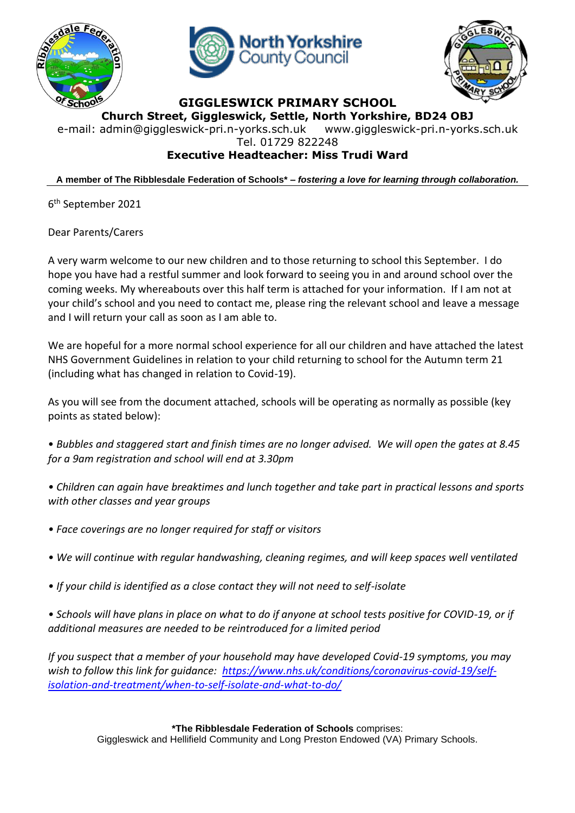





## **GIGGLESWICK PRIMARY SCHOOL**

**Church Street, Giggleswick, Settle, North Yorkshire, BD24 OBJ**

e-mail: [admin@giggleswick-pri.n-yorks.sch.uk](mailto:admin@giggleswick-pri.n-yorks.sch.uk) www.giggleswick-pri.n-yorks.sch.uk Tel. 01729 822248

## **Executive Headteacher: Miss Trudi Ward**

**A member of The Ribblesdale Federation of Schools\* –** *fostering a love for learning through collaboration.*

6 th September 2021

Dear Parents/Carers

A very warm welcome to our new children and to those returning to school this September. I do hope you have had a restful summer and look forward to seeing you in and around school over the coming weeks. My whereabouts over this half term is attached for your information. If I am not at your child's school and you need to contact me, please ring the relevant school and leave a message and I will return your call as soon as I am able to.

We are hopeful for a more normal school experience for all our children and have attached the latest NHS Government Guidelines in relation to your child returning to school for the Autumn term 21 (including what has changed in relation to Covid-19).

As you will see from the document attached, schools will be operating as normally as possible (key points as stated below):

• *Bubbles and staggered start and finish times are no longer advised. We will open the gates at 8.45 for a 9am registration and school will end at 3.30pm*

- *Children can again have breaktimes and lunch together and take part in practical lessons and sports with other classes and year groups*
- *Face coverings are no longer required for staff or visitors*
- *We will continue with regular handwashing, cleaning regimes, and will keep spaces well ventilated*
- *If your child is identified as a close contact they will not need to self-isolate*

*• Schools will have plans in place on what to do if anyone at school tests positive for COVID-19, or if additional measures are needed to be reintroduced for a limited period*

*If you suspect that a member of your household may have developed Covid-19 symptoms, you may wish to follow this link for guidance: [https://www.nhs.uk/conditions/coronavirus-covid-19/self](https://www.nhs.uk/conditions/coronavirus-covid-19/self-isolation-and-treatment/when-to-self-isolate-and-what-to-do/)[isolation-and-treatment/when-to-self-isolate-and-what-to-do/](https://www.nhs.uk/conditions/coronavirus-covid-19/self-isolation-and-treatment/when-to-self-isolate-and-what-to-do/)*

**\*The Ribblesdale Federation of Schools** comprises:

Giggleswick and Hellifield Community and Long Preston Endowed (VA) Primary Schools.